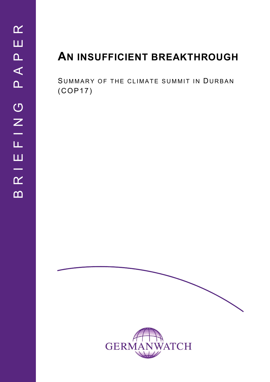# **AN INSUFFICIENT BREAKTHROUGH**

SUMMARY OF THE CLIMATE SUMMIT IN DURBAN (COP17)

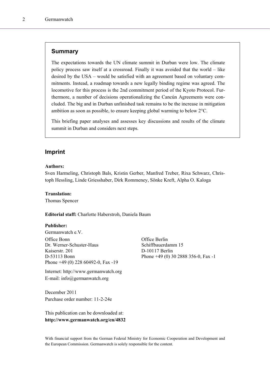## **Summary**

The expectations towards the UN climate summit in Durban were low. The climate policy process saw itself at a crossroad. Finally it was avoided that the world – like desired by the USA – would be satisfied with an agreement based on voluntary commitments. Instead, a roadmap towards a new legally binding regime was agreed. The locomotive for this process is the 2nd commitment period of the Kyoto Protocol. Furthermore, a number of decisions operationalizing the Cancún Agreements were concluded. The big and in Durban unfinished task remains to be the increase in mitigation ambition as soon as possible, to ensure keeping global warming to below 2°C.

This briefing paper analyses and assesses key discussions and results of the climate summit in Durban and considers next steps.

## **Imprint**

### **Authors:**

Sven Harmeling, Christoph Bals, Kristin Gerber, Manfred Treber, Rixa Schwarz, Christoph Hessling, Linde Griesshaber, Dirk Rommeney, Sönke Kreft, Alpha O. Kaloga

#### **Translation:**

Thomas Spencer

**Editorial staff:** Charlotte Haberstroh, Daniela Baum

## **Publisher:**

Germanwatch e.V. Office Bonn Office Berlin Dr. Werner-Schuster-Haus Schiffbauerdamm 15 Kaiserstr. 201 D-10117 Berlin Phone +49 (0) 228 60492-0, Fax -19

Internet: http://www.germanwatch.org E-mail: info@germanwatch.org

December 2011 Purchase order number: 11-2-24e

This publication can be downloaded at: **http://www.germanwatch.org/en/4832** 

D-53113 Bonn Phone +49 (0) 30 2888 356-0, Fax -1

With financial support from the German Federal Ministry for Economic Cooperation and Development and the European Commission. Germanwatch is solely responsible for the content.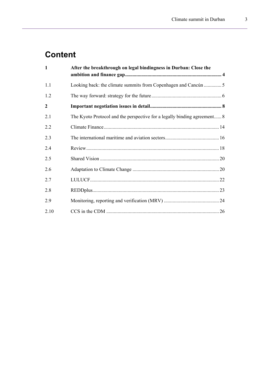# **Content**

| $\mathbf{1}$   | After the breakthrough on legal bindingness in Durban: Close the         |  |  |  |  |
|----------------|--------------------------------------------------------------------------|--|--|--|--|
| 1.1            |                                                                          |  |  |  |  |
| 1.2            |                                                                          |  |  |  |  |
| $\overline{2}$ |                                                                          |  |  |  |  |
| 2.1            | The Kyoto Protocol and the perspective for a legally binding agreement 8 |  |  |  |  |
| 2.2            |                                                                          |  |  |  |  |
| 2.3            |                                                                          |  |  |  |  |
| 2.4            |                                                                          |  |  |  |  |
| 2.5            |                                                                          |  |  |  |  |
| 2.6            |                                                                          |  |  |  |  |
| 2.7            |                                                                          |  |  |  |  |
| 2.8            |                                                                          |  |  |  |  |
| 2.9            |                                                                          |  |  |  |  |
| 2.10           |                                                                          |  |  |  |  |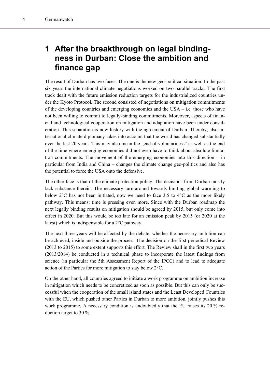# <span id="page-3-0"></span>**1 After the breakthrough on legal bindingness in Durban: Close the ambition and finance gap**

The result of Durban has two faces. The one is the new geo-political situation: In the past six years the international climate negotiations worked on two parallel tracks. The first track dealt with the future emission reduction targets for the industrialized countries under the Kyoto Protocol. The second consisted of negotiations on mitigation commitments of the developing countries and emerging economies and the USA – i.e. those who have not been willing to commit to legally-binding commitments. Moreover, aspects of financial and technological cooperation on mitigation and adaptation have been under consideration. This separation is now history with the agreement of Durban. Thereby, also international climate diplomacy takes into account that the world has changed substantially over the last 20 years. This may also mean the , end of voluntariness as well as the end of the time where emerging economies did not even have to think about absolute limitation commitments. The movement of the emerging economies into this direction – in particular from India and China – changes the climate change geo-politics and also has the potential to force the USA onto the defensive.

The other face is that of the climate protection policy. The decisions from Durban mostly lack substance therein. The necessary turn-around towards limiting global warming to below  $2^{\circ}$ C has not been initiated, now we need to face 3.5 to  $4^{\circ}$ C as the more likely pathway. This means: time is pressing even more. Since with the Durban roadmap the next legally binding results on mitigation should be agreed by 2015, but only come into effect in 2020. But this would be too late for an emission peak by 2015 (or 2020 at the latest) which is indispensable for a 2°C pathway.

The next three years will be affected by the debate, whether the necessary ambition can be achieved, inside and outside the process. The decision on the first periodical Review (2013 to 2015) to some extent supports this effort. The Review shall in the first two years (2013/2014) be conducted in a technical phase to incorporate the latest findings from science (in particular the 5th Assessment Report of the IPCC) and to lead to adequate action of the Parties for more mitigation to stay below 2°C.

On the other hand, all countries agreed to initiate a work programme on ambition increase in mitigation which needs to be concretized as soon as possible. But this can only be successful when the cooperation of the small island states and the Least Developed Countries with the EU, which pushed other Parties in Durban to more ambition, jointly pushes this work programme. A necessary condition is undoubtedly that the EU raises its 20 % reduction target to 30 %.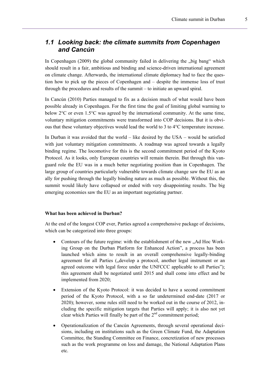## <span id="page-4-0"></span>*1.1 Looking back: the climate summits from Copenhagen and Cancún*

In Copenhagen  $(2009)$  the global community failed in delivering the  $n$ , big bang" which should result in a fair, ambitious and binding and science-driven international agreement on climate change. Afterwards, the international climate diplomacy had to face the question how to pick up the pieces of Copenhagen and – despite the immense loss of trust through the procedures and results of the summit – to initiate an upward spiral.

In Cancún (2010) Parties managed to fix as a decision much of what would have been possible already in Copenhagen. For the first time the goal of limiting global warming to below 2°C or even 1.5°C was agreed by the international community. At the same time, voluntary mitigation commitments were transformed into COP decisions. But it is obvious that these voluntary objectives would lead the world to 3 to 4°C temperature increase.

In Durban it was avoided that the world – like desired by the USA – would be satisfied with just voluntary mitigation commitments. A roadmap was agreed towards a legally binding regime. The locomotive for this is the second commitment period of the Kyoto Protocol. As it looks, only European countries will remain therein. But through this vanguard role the EU was in a much better negotiating position than in Copenhagen. The large group of countries particularly vulnerable towards climate change saw the EU as an ally for pushing through the legally binding nature as much as possible. Without this, the summit would likely have collapsed or ended with very disappointing results. The big emerging economies saw the EU as an important negotiating partner.

## **What has been achieved in Durban?**

At the end of the longest COP ever, Parties agreed a comprehensive package of decisions, which can be categorized into three groups:

- Contours of the future regime: with the establishment of the new ...Ad Hoc Working Group on the Durban Platform for Enhanced Action", a process has been launched which aims to result in an overall comprehensive legally-binding agreement for all Parties ("develop a protocol, another legal instrument or an agreed outcome with legal force under the UNFCCC applicable to all Parties"); this agreement shall be negotiated until 2015 and shall come into effect and be implemented from 2020;
- Extension of the Kyoto Protocol: it was decided to have a second commitment period of the Kyoto Protocol, with a so far undetermined end-date (2017 or 2020); however, some rules still need to be worked out in the course of 2012, including the specific mitigation targets that Parties will apply; it is also not yet clear which Parties will finally be part of the  $2<sup>nd</sup>$  commitment period;
- Operationalization of the Cancún Agreements, through several operational decisions, including on institutions such as the Green Climate Fund, the Adaptation Committee, the Standing Committee on Finance, concretization of new processes such as the work programme on loss and damage, the National Adaptation Plans etc.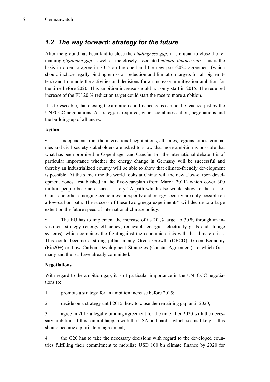## <span id="page-5-0"></span>*1.2 The way forward: strategy for the future*

After the ground has been laid to close the *bindingness gap*, it is crucial to close the remaining *gigatonne gap* as well as the closely associated *climate finance gap*. This is the basis in order to agree in 2015 on the one hand the new post-2020 agreement (which should include legally binding emission reduction and limitation targets for all big emitters) and to bundle the activities and decisions for an increase in mitigation ambition for the time before 2020. This ambition increase should not only start in 2015. The required increase of the EU 20 % reduction target could start the race to more ambition.

It is foreseeable, that closing the ambition and finance gaps can not be reached just by the UNFCCC negotiations. A strategy is required, which combines action, negotiations and the building-up of alliances.

## **Action**

• Independent from the international negotiations, all states, regions, cities, companies and civil society stakeholders are asked to show that more ambition is possible that what has been promised in Copenhagen and Cancún. For the international debate it is of particular importance whether the energy change in Germany will be successful and thereby an industrialized country will be able to show that climate-friendly development is possible. At the same time the world looks at China: will the new "low-carbon development zones" established in the five-year-plan (from March 2011) which cover 300 million people become a success story? A path which also would show to the rest of China and other emerging economies: prosperity and energy security are only possible on a low-carbon path. The success of these two "mega experiments" will decide to a large extent on the future speed of international climate policy.

The EU has to implement the increase of its 20 % target to 30 % through an investment strategy (energy efficiency, renewable energies, electricity grids and storage systems), which combines the fight against the economic crisis with the climate crisis. This could become a strong pillar in any Green Growth (OECD), Green Economy (Rio20+) or Low Carbon Development Strategies (Cancún Agreement), to which Germany and the EU have already committed.

## **Negotiations**

With regard to the ambition gap, it is of particular importance in the UNFCCC negotiations to:

- 1. promote a strategy for an ambition increase before 2015;
- 2. decide on a strategy until 2015, how to close the remaining gap until 2020;

3. agree in 2015 a legally binding agreement for the time after 2020 with the necessary ambition. If this can not happen with the USA on board – which seems likely –, this should become a plurilateral agreement;

4. the G20 has to take the necessary decisions with regard to the developed countries fulfilling their commitment to mobilize USD 100 bn climate finance by 2020 for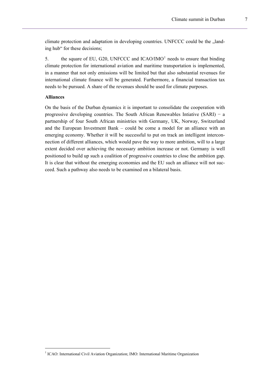climate protection and adaptation in developing countries. UNFCCC could be the  $\alpha$ landing hub" for these decisions;

5. the square of EU, G20, UNFCCC and  $ICAO/IMO<sup>1</sup>$  $ICAO/IMO<sup>1</sup>$  $ICAO/IMO<sup>1</sup>$  needs to ensure that binding climate protection for international aviation and maritime transportation is implemented, in a manner that not only emissions will be limited but that also substantial revenues for international climate finance will be generated. Furthermore, a financial transaction tax needs to be pursued. A share of the revenues should be used for climate purposes.

## **Alliances**

l

On the basis of the Durban dynamics it is important to consolidate the cooperation with progressive developing countries. The South African Renewables Intiative (SARI) − a partnership of four South African ministries with Germany, UK, Norway, Switzerland and the European Investment Bank – could be come a model for an alliance with an emerging economy. Whether it will be successful to put on track an intelligent interconnection of different alliances, which would pave the way to more ambition, will to a large extent decided over achieving the necessary ambition increase or not. Germany is well positioned to build up such a coalition of progressive countries to close the ambition gap. It is clear that without the emerging economies and the EU such an alliance will not succeed. Such a pathway also needs to be examined on a bilateral basis.

<span id="page-6-0"></span><sup>&</sup>lt;sup>1</sup> ICAO: International Civil Aviation Organization; IMO: International Maritime Organization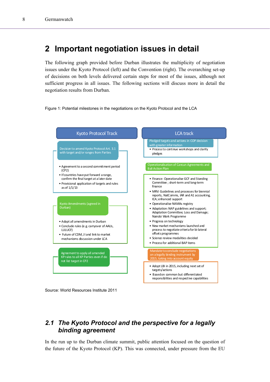# <span id="page-7-0"></span>**2 Important negotiation issues in detail**

The following graph provided before Durban illustrates the multiplicity of negotiation issues under the Kyoto Protocol (left) and the Convention (right). The overarching set-up of decisions on both levels delivered certain steps for most of the issues, although not sufficient progress in all issues. The following sections will discuss more in detail the negotiation results from Durban.





Source: World Resources Institute 2011

# <span id="page-7-1"></span>*2.1 The Kyoto Protocol and the perspective for a legally binding agreement*

In the run up to the Durban climate summit, public attention focused on the question of the future of the Kyoto Protocol (KP). This was connected, under pressure from the EU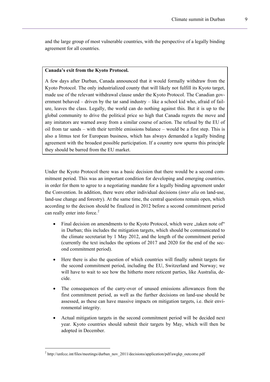and the large group of most vulnerable countries, with the perspective of a legally binding agreement for all countries.

### **Canada's exit from the Kyoto Protocol.**

A few days after Durban, Canada announced that it would formally withdraw from the Kyoto Protocol. The only industrialized county that will likely not fulfill its Kyoto target, made use of the relevant withdrawal clause under the Kyoto Protocol. The Canadian government behaved – driven by the tar sand industry – like a school kid who, afraid of failure, leaves the class. Legally, the world can do nothing against this. But it is up to the global community to drive the political price so high that Canada regrets the move and any imitators are warned away from a similar course of action. The refusal by the EU of oil from tar sands – with their terrible emissions balance – would be a first step. This is also a litmus test for European business, which has always demanded a legally binding agreement with the broadest possible participation. If a country now spurns this principle they should be barred from the EU market.

Under the Kyoto Protocol there was a basic decision that there would be a second commitment period. This was an important condition for developing and emerging countries, in order for them to agree to a negotiating mandate for a legally binding agreement under the Convention. In addition, there were other individual decisions (*inter alia* on land-use, land-use change and forestry). At the same time, the central questions remain open, which according to the decison should be finalized in 2012 before a second commitment period can really enter into force.<sup>[2](#page-8-0)</sup>

- Final decision on amendments to the Kyoto Protocol, which were "taken note of" in Durban; this includes the mitigation targets, which should be communicated to the climate secretariat by 1 May 2012, and the length of the commitment period (currently the text includes the options of 2017 and 2020 for the end of the second commitment period).
- Here there is also the question of which countries will finally submit targets for the second commitment period, including the EU, Switzerland and Norway; we will have to wait to see how the hitherto more reticent parties, like Australia, decide.
- The consequences of the carry-over of unused emissions allowances from the first commitment period, as well as the further decisions on land-use should be assessed, as these can have massive impacts on mitigation targets, i.e. their environmental integrity.
- Actual mitigation targets in the second commitment period will be decided next year. Kyoto countries should submit their targets by May, which will then be adopted in December.

l

<span id="page-8-0"></span><sup>&</sup>lt;sup>2</sup> http://unfccc.int/files/meetings/durban\_nov\_2011/decisions/application/pdf/awgkp\_outcome.pdf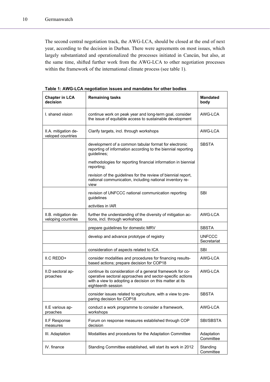The second central negotiation track, the AWG-LCA, should be closed at the end of next year, according to the decision in Durban. There were agreements on most issues, which largely substantiated and operationalized the processes initiated in Cancún, but also, at the same time, shifted further work from the AWG-LCA to other negotiation processes within the framework of the international climate process (see table 1).

| <b>Chapter in LCA</b><br>decision          | <b>Remaining tasks</b>                                                                                                                                                                                   | <b>Mandated</b><br>body      |
|--------------------------------------------|----------------------------------------------------------------------------------------------------------------------------------------------------------------------------------------------------------|------------------------------|
| I. shared vision                           | continue work on peak year and long-term goal, consider<br>the issue of equitable access to sustainable development                                                                                      | AWG-LCA                      |
| II.A. mitigation de-<br>veloped countries  | Clarify targets, incl. through workshops                                                                                                                                                                 | AWG-LCA                      |
|                                            | development of a common tabular format for electronic<br>reporting of information according to the biennial reporting<br>guidelines;                                                                     | <b>SBSTA</b>                 |
|                                            | methodologies for reporting financial information in biennial<br>reporting;                                                                                                                              |                              |
|                                            | revision of the guidelines for the review of biennial report,<br>national communication, including national inventory re-<br>view                                                                        |                              |
|                                            | revision of UNFCCC national communication reporting<br>guidelines                                                                                                                                        | <b>SBI</b>                   |
|                                            | activities in IAR                                                                                                                                                                                        |                              |
| II.B. mitigation de-<br>veloping countries | further the understanding of the diversity of mitigation ac-<br>tions, incl. through workshops                                                                                                           | AWG-LCA                      |
|                                            | prepare guidelines for domestic MRV                                                                                                                                                                      | <b>SBSTA</b>                 |
|                                            | develop and advance prototype of registry                                                                                                                                                                | <b>UNFCCC</b><br>Secretariat |
|                                            | consideration of aspects related to ICA                                                                                                                                                                  | <b>SBI</b>                   |
| II.C REDD+                                 | consider modalities and procedures for financing results-<br>based actions; prepare decision for COP18                                                                                                   | AWG-LCA                      |
| II.D sectoral ap-<br>proaches              | continue its consideration of a general framework for co-<br>operative sectoral approaches and sector-specific actions<br>with a view to adopting a decision on this matter at its<br>eighteenth session | AWG-I CA                     |
|                                            | consider issues related to agriculture, with a view to pre-<br>paring decision for COP18                                                                                                                 | <b>SBSTA</b>                 |
| II.E various ap-<br>proaches               | conduct a work programme to consider a framework,<br>workshops                                                                                                                                           | AWG-LCA                      |
| <b>II.F Response</b><br>measures           | Forum on response measures established through COP<br>decision                                                                                                                                           | SBI/SBSTA                    |
| III. Adaptation                            | Modalities and procedures for the Adaptation Committee                                                                                                                                                   | Adaptation<br>Committee      |
| IV. finance                                | Standing Committee established, will start its work in 2012                                                                                                                                              | Standing<br>Committee        |

**Table 1: AWG-LCA negotiation issues and mandates for other bodies**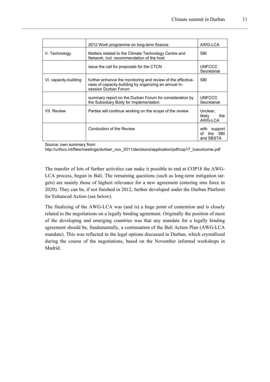|                       | 2012 Work programme on long-term finance                                                                                                     | AWG-LCA                                       |
|-----------------------|----------------------------------------------------------------------------------------------------------------------------------------------|-----------------------------------------------|
| V. Technology         | Matters related to the Climate Technology Centre and<br>Network, incl. recommendation of the host                                            | <b>SBI</b>                                    |
|                       | issue the call for proposals for the CTCN                                                                                                    | <b>UNFCCC</b><br>Secretariat                  |
| VI. capacity-building | further enhance the monitoring and review of the effective-<br>ness of capacity-building by organizing an annual in-<br>session Durban Forum | <b>SBI</b>                                    |
|                       | summary report on the Durban Forum for consideration by<br>the Subsidiary Body for Implementation                                            | <b>UNFCCC</b><br>Secretariat                  |
| VII. Review           | Parties will continue working on the scope of the review                                                                                     | Unclear.<br>likelv<br>the<br>AWG-LCA          |
|                       | Conduction of the Review                                                                                                                     | support<br>with<br>the SBI<br>Ωf<br>and SBSTA |

Source: own summary from:

[http://unfccc.int/files/meetings/durban\\_nov\\_2011/decisions/application/pdf/cop17\\_lcaoutcome.pdf](http://unfccc.int/files/meetings/durban_nov_2011/decisions/application/pdf/cop17_lcaoutcome.pdf) 

The transfer of lots of further activities can make it possible to end at COP18 the AWG-LCA process, begun in Bali. The remaining questions (such as long-term mitigation targets) are mainly those of highest relevance for a new agreement (entering into force in 2020). They can be, if not finished in 2012, further developed under the Durban Platform for Enhanced Action (see below).

The finalizing of the AWG-LCA was (and is) a huge point of contention and is closely related to the negotiations on a legally binding agreement. Originally the position of most of the developing and emerging countries was that any mandate for a legally binding agreement should be, fundamentally, a continuation of the Bali Action Plan (AWG-LCA mandate). This was reflected in the legal options discussed in Durban, which crystallized during the course of the negotiations, based on the November informal workshops in Madrid.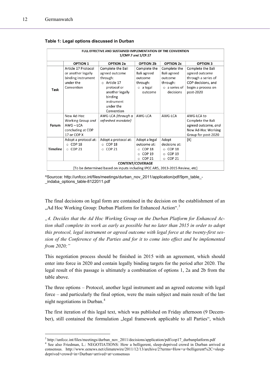l

| FULL EFFECTIVE AND SUSTAINED IMPLEMENTATION OF THE CONVENTION<br>1/CMP.7 and 1/CP.17                    |                                                                                            |                                                                                                                                                             |                                                                                                  |                                                                                               |                                                                                                                     |  |  |  |  |
|---------------------------------------------------------------------------------------------------------|--------------------------------------------------------------------------------------------|-------------------------------------------------------------------------------------------------------------------------------------------------------------|--------------------------------------------------------------------------------------------------|-----------------------------------------------------------------------------------------------|---------------------------------------------------------------------------------------------------------------------|--|--|--|--|
|                                                                                                         | <b>OPTION 1</b>                                                                            | <b>OPTION 2a</b>                                                                                                                                            | <b>OPTION 2b</b>                                                                                 | <b>OPTION 2c</b>                                                                              | <b>OPTION 3</b>                                                                                                     |  |  |  |  |
| Task                                                                                                    | Article 17 Protocol<br>or another legally<br>binding instrument<br>under the<br>Convention | Complete the Bali<br>agreed outcome<br>through:<br>$\circ$ Article 17<br>protocol or<br>another legally<br>binding<br>instrument<br>under the<br>Convention | Complete the<br>Bali agreed<br>outcome<br>through:<br>$\circ$ a legal<br>outcome                 | Complete the<br>Bali agreed<br>outcome<br>through:<br>$\circ$ a series of<br>decisions        | Complete the Bali<br>agreed outcome<br>through a series of<br>COP decisions, and<br>begin a process on<br>post-2020 |  |  |  |  |
| Forum                                                                                                   | New Ad-Hoc<br>Working Group and<br>$AWG-LCA$<br>concluding at COP<br>17 or COP X           | AWG-LCA {through a<br>refreshed mandate}                                                                                                                    | AWG-LCA                                                                                          | AWG-LCA                                                                                       | AWG-LCA to<br>Complete the Bali<br>agreed outcome, and<br>New Ad-Hoc Working<br>Group for post-2020                 |  |  |  |  |
| <b>Timeline</b>                                                                                         | Adopt a protocol at:<br>$\circ$ COP 18<br>$O$ COP 21                                       | Adopt a protocol at:<br>$\circ$ COP 18<br><b>COP 21</b><br>$\circ$                                                                                          | Adopt a legal<br>outcome at:<br>$\circ$ COP 18<br>COP <sub>19</sub><br>$\circ$<br>$\circ$ COP 21 | Adopt<br>decisions at:<br>COP 18<br>$\circ$<br>COP <sub>19</sub><br>$\circ$<br>$\circ$ COP 21 | [X]                                                                                                                 |  |  |  |  |
| <b>CONTENT/COVERAGE</b><br>[To be determined based on inputs including IPCC AR5, 2013-2015 Review, etc) |                                                                                            |                                                                                                                                                             |                                                                                                  |                                                                                               |                                                                                                                     |  |  |  |  |

#### **Table 1: Legal options discussed in Durban**

^Sourcce: http://unfccc.int/files/meetings/durban\_nov\_2011/application/pdf/9pm\_table\_- \_indaba\_options\_table-8122011.pdf

The final decisions on legal form are contained in the decision on the establishment of an "Ad Hoc Working Group: Durban Platform for Enhanced Action".<sup>[3](#page-11-0)</sup>

*"4. Decides that the Ad Hoc Working Group on the Durban Platform for Enhanced Action shall complete its work as early as possible but no later than 2015 in order to adopt this protocol, legal instrument or agreed outcome with legal force at the twenty-first session of the Conference of the Parties and for it to come into effect and be implemented from 2020;"* 

This negotiation process should be finished in 2015 with an agreement, which should enter into force in 2020 and contain legally binding targets for the period after 2020. The legal result of this passage is ultimately a combination of options 1, 2a and 2b from the table above.

The three options – Protocol, another legal instrument and an agreed outcome with legal force – and particularly the final option, were the main subject and main result of the last night negotiations in Durban.<sup>[4](#page-11-1)</sup>

The first iteration of this legal text, which was published on Friday afternoon (9 December), still contained the formulation "legal framework applicable to all Parties", which

 $3 \text{ http://unfcc.int/files/mectings/durban nov_2011/decisions/application/pdf/cop17_durban platform.pdf}$ <br> $4 \text{ Sea also Friedman L-MECOT14 TIONS: How a bellicarent, clean derived around in Durben erriv-$ 

<span id="page-11-1"></span><span id="page-11-0"></span><sup>&</sup>lt;sup>4</sup> See also Friedman, L.: NEGOTIATIONS: How a belligerent, sleep-deprived crowd in Durban arrived at consensus. http://www.eenews.net/climatewire/2011/12/13/archive/2?terms=How+a+belligerent%2C+sleepdeprived+crowd+in+Durban+arrived+at+consensus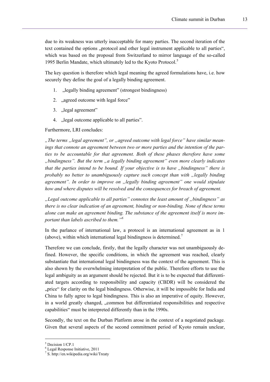due to its weakness was utterly inacceptable for many parties. The second iteration of the text contained the options "protocol and other legal instrument applicable to all parties", which was based on the proposal from Switzerland to mirror language of the so-called 199[5](#page-12-0) Berlin Mandate, which ultimately led to the Kyoto Protocol.<sup>5</sup>

The key question is therefore which legal meaning the agreed formulations have, i.e. how securely they define the goal of a legally binding agreement.

- 1. "legally binding agreement" (strongest bindingness)
- 2. "agreed outcome with legal force"
- 3. "legal agreement"
- 4. "legal outcome applicable to all parties".

Furthermore, LRI concludes:

*"The terms "legal agreement", or "agreed outcome with legal force" have similar meanings that connote an agreement between two or more parties and the intention of the parties to be accountable for that agreement. Both of these phases therefore have some "bindingness". But the term "a legally binding agreement" even more clearly indicates that the parties intend to be bound. If your objective is to have "bindingness" there is probably no better to unambiguously capture such concept than with "legally binding agreement". In order to improve on "legally binding agreement" one would stipulate how and where disputes will be resolved and the consequences for breach of agreement.* 

*"Legal outcome applicable to all parties" connotes the least amount of "bindingness" as there is no clear indication of an agreement, binding or non-binding. None of these terms alone can make an agreement binding. The substance of the agreement itself is more important than labels ascribed to them."[6](#page-12-1)*

In the parlance of international law, a protocol is an international agreement as in 1 (above), within which international legal bindingness is determined.<sup>[7](#page-12-2)</sup>

Therefore we can conclude, firstly, that the legally character was not unambiguously defined. However, the specific conditions, in which the agreement was reached, clearly substantiate that international legal bindingness was the context of the agreement. This is also shown by the overwhelming interpretation of the public. Therefore efforts to use the legal ambiguity as an argument should be rejected. But it is to be expected that differentiated targets according to responsibility and capacity (CBDR) will be considered the "price" for clarity on the legal bindingness. Otherwise, it will be impossible for India and China to fully agree to legal bindingness. This is also an imperative of equity. However, in a world greatly changed, "common but differentiated responsibilities and respective capabilities" must be interpreted differently than in the 1990s.

Secondly, the text on the Durban Platform arose in the context of a negotiated package. Given that several aspects of the second commitment period of Kyoto remain unclear,

l

<sup>5</sup> Decision 1/CP.1

<span id="page-12-1"></span><span id="page-12-0"></span><sup>6</sup> Legal Response Initiative, 2011

<span id="page-12-2"></span><sup>7</sup> S. http://en.wikipedia.org/wiki/Treaty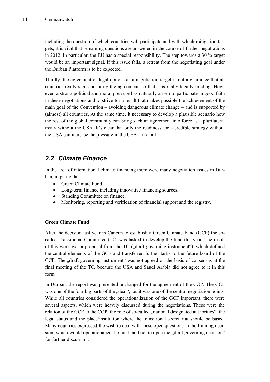including the question of which countries will participate and with which mitigation targets, it is vital that remaining questions are answered in the course of further negotiations in 2012. In particular, the EU has a special responsibility. The step towards a 30 % target would be an important signal. If this issue fails, a retreat from the negotiating goal under the Durban Platform is to be expected.

Thirdly, the agreement of legal options as a negotiation target is not a guarantee that all countries really sign and ratify the agreement, so that it is really legally binding. However, a strong political and moral pressure has naturally arisen to participate in good faith in these negotiations and to strive for a result that makes possible the achievement of the main goal of the Convention – avoiding dangerous climate change – and is supported by (almost) all countries. At the same time, it necessary to develop a plausible scenario how the rest of the global community can bring such an agreement into force as a plurilateral treaty without the USA. It's clear that only the readiness for a credible strategy without the USA can increase the pressure in the USA – if at all.

## <span id="page-13-0"></span>*2.2 Climate Finance*

In the area of international climate financing there were many negotiation issues in Durban, in particular

- Green Climate Fund
- Long-term finance including innovative financing sources.
- Standing Committee on finance.
- Monitoring, reporting and verification of financial support and the registry.

## **Green Climate Fund**

After the decision last year in Cancún to establish a Green Climate Fund (GCF) the socalled Transitional Committee (TC) was tasked to develop the fund this year. The result of this work was a proposal from the TC ("draft governing instrument"), which defined the central elements of the GCF and transferred further tasks to the future board of the GCF. The "draft governing instrument" was not agreed on the basis of consensus at the final meeting of the TC, because the USA and Saudi Arabia did not agree to it in this form.

In Durban, the report was presented unchanged for the agreement of the COP. The GCF was one of the four big parts of the "deal", i.e. it was one of the central negotiation points. While all countries considered the operationalization of the GCF important, there were several aspects, which were heavily discussed during the negotiations. These were the relation of the GCF to the COP, the role of so-called , national designated authorities", the legal status and the place/institution where the transitional secretariat should be based. Many countries expressed the wish to deal with these open questions in the framing decision, which would operationalize the fund, and not to open the "draft governing decision" for further discussion.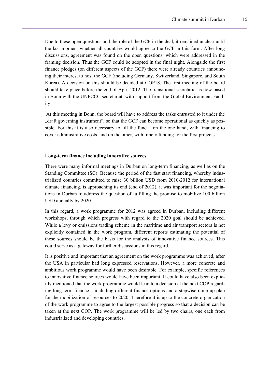Due to these open questions and the role of the GCF in the deal, it remained unclear until the last moment whether all countries would agree to the GCF in this form. After long discussions, agreement was found on the open questions, which were addressed in the framing decision. Thus the GCF could be adopted in the final night. Alongside the first finance pledges (on different aspects of the GCF) there were already countries announcing their interest to host the GCF (including Germany, Switzerland, Singapore, and South Korea). A decision on this should be decided at COP18. The first meeting of the board should take place before the end of April 2012. The transitional secretariat is now based in Bonn with the UNFCCC secretariat, with support from the Global Environment Facility.

 At this meeting in Bonn, the board will have to address the tasks entrusted to it under the "draft governing instrument", so that the GCF can become operational as quickly as possible. For this it is also necessary to fill the fund – on the one hand, with financing to cover administrative costs, and on the other, with timely funding for the first projects.

### **Long-term finance including innovative sources**

There were many informal meetings in Durban on long-term financing, as well as on the Standing Committee (SC). Because the period of the fast start financing, whereby industrialized countries committed to raise 30 billion USD from 2010-2012 for international climate financing, is approaching its end (end of 2012), it was important for the negotiations in Durban to address the question of fulfilling the promise to mobilize 100 billion USD annually by 2020.

In this regard, a work programme for 2012 was agreed in Durban, including different workshops, through which progress with regard to the 2020 goal should be achieved. While a levy or emissions trading scheme in the maritime and air transport sectors is not explicitly contained in the work program, different reports estimating the potential of these sources should be the basis for the analysis of innovative finance sources. This could serve as a gateway for further discussions in this regard.

It is positive and important that an agreement on the work programme was achieved, after the USA in particular had long expressed reservations. However, a more concrete and ambitious work programme would have been desirable. For example, specific references to innovative finance sources would have been important. It could have also been explicitly mentioned that the work programme would lead to a decision at the next COP regarding long-term finance – including different finance options and a stepwise ramp up plan for the mobilization of resources to 2020. Therefore it is up to the concrete organization of the work programme to agree to the largest possible progress so that a decision can be taken at the next COP. The work programme will be led by two chairs, one each from industrialized and developing countries.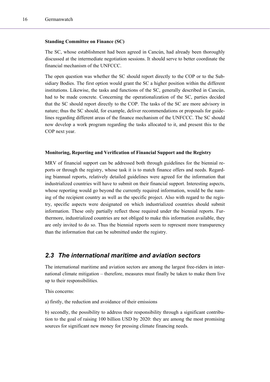## **Standing Committee on Finance (SC)**

The SC, whose establishment had been agreed in Cancún, had already been thoroughly discussed at the intermediate negotiation sessions. It should serve to better coordinate the financial mechanism of the UNFCCC.

The open question was whether the SC should report directly to the COP or to the Subsidiary Bodies. The first option would grant the SC a higher position within the different institutions. Likewise, the tasks and functions of the SC, generally described in Cancún, had to be made concrete. Concerning the operationalization of the SC, parties decided that the SC should report directly to the COP. The tasks of the SC are more advisory in nature; thus the SC should, for example, deliver recommendations or proposals for guidelines regarding different areas of the finance mechanism of the UNFCCC. The SC should now develop a work program regarding the tasks allocated to it, and present this to the COP next year.

#### **Monitoring, Reporting and Verification of Financial Support and the Registry**

MRV of financial support can be addressed both through guidelines for the biennial reports or through the registry, whose task it is to match finance offers and needs. Regarding biannual reports, relatively detailed guidelines were agreed for the information that industrialized countries will have to submit on their financial support. Interesting aspects, whose reporting would go beyond the currently required information, would be the naming of the recipient country as well as the specific project. Also with regard to the registry, specific aspects were designated on which industrialized countries should submit information. These only partially reflect those required under the biennial reports. Furthermore, industrialized countries are not obliged to make this information available, they are only invited to do so. Thus the biennial reports seem to represent more transparency than the information that can be submitted under the registry.

## <span id="page-15-0"></span>*2.3 The international maritime and aviation sectors*

The international maritime and aviation sectors are among the largest free-riders in international climate mitigation – therefore, measures must finally be taken to make them live up to their responsibilities.

This concerns:

a) firstly, the reduction and avoidance of their emissions

b) secondly, the possibility to address their responsibility through a significant contribution to the goal of raising 100 billion USD by 2020: they are among the most promising sources for significant new money for pressing climate financing needs.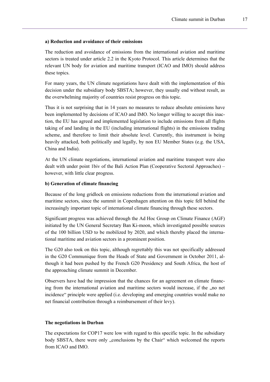### **a) Reduction and avoidance of their emissions**

The reduction and avoidance of emissions from the international aviation and maritime sectors is treated under article 2.2 in the Kyoto Protocol. This article determines that the relevant UN body for aviation and maritime transport (ICAO and IMO) should address these topics.

For many years, the UN climate negotiations have dealt with the implementation of this decision under the subsidiary body SBSTA; however, they usually end without result, as the overwhelming majority of countries resist progress on this topic.

Thus it is not surprising that in 14 years no measures to reduce absolute emissions have been implemented by decisions of ICAO and IMO. No longer willing to accept this inaction, the EU has agreed and implemented legislation to include emissions from all flights taking of and landing in the EU (including international flights) in the emissions trading scheme, and therefore to limit their absolute level. Currently, this instrument is being heavily attacked, both politically and legally, by non EU Member States (e.g. the USA, China and India).

At the UN climate negotiations, international aviation and maritime transport were also dealt with under point 1biv of the Bali Action Plan (Cooperative Sectoral Approaches) – however, with little clear progress.

## **b) Generation of climate financing**

Because of the long gridlock on emissions reductions from the international aviation and maritime sectors, since the summit in Copenhagen attention on this topic fell behind the increasingly important topic of international climate financing through these sectors.

Significant progress was achieved through the Ad Hoc Group on Climate Finance (AGF) initiated by the UN General Secretary Ban Ki-moon, which investigated possible sources of the 100 billion USD to be mobilized by 2020, and which thereby placed the international maritime and aviation sectors in a prominent position.

The G20 also took on this topic, although regrettably this was not specifically addressed in the G20 Communique from the Heads of State and Government in October 2011, although it had been pushed by the French G20 Presidency and South Africa, the host of the approaching climate summit in December.

Observers have had the impression that the chances for an agreement on climate financing from the international aviation and maritime sectors would increase, if the "no net incidence" principle were applied (i.e. developing and emerging countries would make no net financial contribution through a reimbursement of their levy).

#### **The negotiations in Durban**

The expectations for COP17 were low with regard to this specific topic. In the subsidiary body SBSTA, there were only "conclusions by the Chair" which welcomed the reports from ICAO and IMO.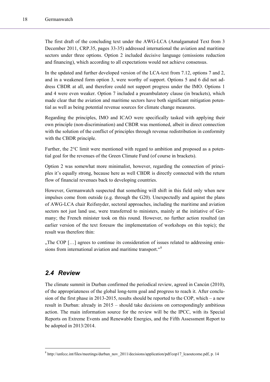The first draft of the concluding text under the AWG-LCA (Amalgamated Text from 3 December 2011, CRP.35, pages 33-35) addressed international the aviation and maritime sectors under three options. Option 2 included decisive language (emissions reduction and financing), which according to all expectations would not achieve consensus.

In the updated and further developed version of the LCA-text from 7.12, options 7 and 2, and in a weakened form option 3, were worthy of support. Options 5 and 6 did not address CBDR at all, and therefore could not support progress under the IMO. Options 1 and 4 were even weaker. Option 7 included a preambulatory clause (in brackets), which made clear that the aviation and maritime sectors have both significant mitigation potential as well as being potential revenue sources for climate change measures.

Regarding the principles, IMO and ICAO were specifically tasked with applying their own principle (non-discrimination) and CBDR was mentioned, albeit in direct connection with the solution of the conflict of principles through revenue redistribution in conformity with the CBDR principle.

Further, the 2°C limit were mentioned with regard to ambition and proposed as a potential goal for the revenues of the Green Climate Fund (of course in brackets).

Option 2 was somewhat more minimalist, however, regarding the connection of principles it's equally strong, because here as well CBDR is directly connected with the return flow of financial revenues back to developing countries.

However, Germanwatch suspected that something will shift in this field only when new impulses come from outside (e.g. through the G20). Unexpectedly and against the plans of AWG-LCA chair Reifsnyder, sectoral approaches, including the maritime and aviation sectors not just land use, were transferred to ministers, mainly at the initiative of Germany; the French minister took on this round. However, no further action resulted (an earlier version of the text foresaw the implementation of workshops on this topic); the result was therefore thin:

 $\Box$  The COP [ $\dots$ ] agrees to continue its consideration of issues related to addressing emissions from international aviation and maritime transport."[8](#page-17-1)

## <span id="page-17-0"></span>*2.4 Review*

l

The climate summit in Durban confirmed the periodical review, agreed in Cancún (2010), of the appropriateness of the global long-term goal and progress to reach it. After conclusion of the first phase in 2013-2015, results should be reported to the COP, which – a new result in Durban: already in 2015 – should take decisions on correspondingly ambitious action. The main information source for the review will be the IPCC, with its Special Reports on Extreme Events and Renewable Energies, and the Fifth Assessment Report to be adopted in 2013/2014.

<span id="page-17-1"></span><sup>8</sup> [http://unfccc.int/files/meetings/durban\\_nov\\_2011/decisions/application/pdf/cop17\\_lcaoutcome.pdf](http://unfccc.int/files/meetings/durban_nov_2011/decisions/application/pdf/cop17_lcaoutcome.pdf), p. 14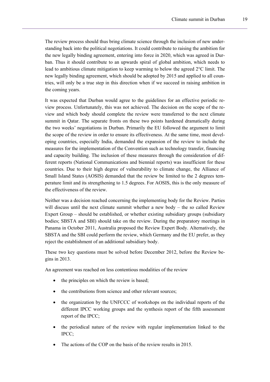The review process should thus bring climate science through the inclusion of new understanding back into the political negotiations. It could contribute to raising the ambition for the new legally binding agreement, entering into force in 2020, which was agreed in Durban. Thus it should contribute to an upwards spiral of global ambition, which needs to lead to ambitious climate mitigation to keep warming to below the agreed 2°C limit. The new legally binding agreement, which should be adopted by 2015 and applied to all countries, will only be a true step in this direction when if we succeed in raising ambition in the coming years.

It was expected that Durban would agree to the guidelines for an effective periodic review process. Unfortunately, this was not achieved. The decision on the scope of the review and which body should complete the review were transferred to the next climate summit in Qatar. The separate fronts on these two points hardened dramatically during the two weeks' negotiations in Durban. Primarily the EU followed the argument to limit the scope of the review in order to ensure its effectiveness. At the same time, most developing countries, especially India, demanded the expansion of the review to include the measures for the implementation of the Convention such as technology transfer, financing and capacity building. The inclusion of these measures through the consideration of different reports (National Communications and biennial reports) was insufficient for these countries. Due to their high degree of vulnerability to climate change, the Alliance of Small Island States (AOSIS) demanded that the review be limited to the 2 degrees temperature limit and its strengthening to 1.5 degrees. For AOSIS, this is the only measure of the effectiveness of the review.

Neither was a decision reached concerning the implementing body for the Review. Parties will discuss until the next climate summit whether a new body – the so called Review Expert Group – should be established, or whether existing subsidiary groups (subsidiary bodies; SBSTA and SBI) should take on the review. During the preparatory meetings in Panama in October 2011, Australia proposed the Review Expert Body. Alternatively, the SBSTA and the SBI could perform the review, which Germany and the EU prefer, as they reject the establishment of an additional subsidiary body.

These two key questions must be solved before December 2012, before the Review begins in 2013.

An agreement was reached on less contentious modalities of the review

- the principles on which the review is based;
- the contributions from science and other relevant sources;
- the organization by the UNFCCC of workshops on the individual reports of the different IPCC working groups and the synthesis report of the fifth assessment report of the IPCC;
- the periodical nature of the review with regular implementation linked to the IPCC;
- The actions of the COP on the basis of the review results in 2015.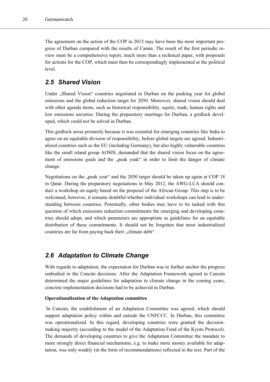The agreement on the action of the COP in 2015 may have been the most important progress of Durban compared with the results of Canún. The result of the first periodic review must be a comprehensive report, much more than a technical paper, with proposals for actions for the COP, which must then be correspondingly implemented at the political level.

## <span id="page-19-0"></span>*2.5 Shared Vision*

Under "Shared Vision" countries negotiated in Durban on the peaking year for global emissions and the global reduction target for 2050. Moreover, shared vision should deal with other agenda items, such as historical responsibility, equity, trade, human rights and low emissions societies. During the preparatory meetings for Durban, a gridlock developed, which could not be solved in Durban.

This gridlock arose primarily because it was essential for emerging countries like India to agree on an equitable division of responsibility, before global targets are agreed. Industrialized countries such as the EU (including Germany), but also highly vulnerable countries like the small island group AOSIS, demanded that the shared vision focus on the agreement of emissions goals and the "peak yeak" in order to limit the danger of climate change.

Negotiations on the ..peak year" and the 2050 target should be taken up again at COP 18 in Qatar. During the preparatory negotiations in May 2012, the AWG-LCA should conduct a workshop on equity based on the proposal of the African Group. This step is to be welcomed, however, it remains doubtful whether individual workshops can lead to understanding between countries. Potentially, other bodies may have to be tasked with this question of which emissions reduction commitments the emerging and developing countries should adopt, and which parameters are appropriate as guidelines for an equitable distribution of these commitments. It should not be forgotten that most industrialized countries are far from paying back their ...climate debt".

## <span id="page-19-1"></span>*2.6 Adaptation to Climate Change*

With regards to adaptation, the expectation for Durban was to further anchor the progress embodied in the Cancún decisions. After the Adaptation Framework agreed in Cancún determined the major guidelines for adaptation to climate change in the coming years, concrete implementation decisions had to be achieved in Durban.

#### **Operationalization of the Adaptation committee**

 In Cancún, the establishment of an Adaptation Committee was agreed, which should support adaptation policy within and outside the UNFCCC. In Durban, this committee was operationalized. In this regard, developing countries were granted the decisionmaking majority (according to the model of the Adaptation Fund of the Kyoto Protocol). The demands of developing countries to give the Adaptation Committee the mandate to more strongly direct financial mechanisms, e.g. to make more money available for adaptation, was only weakly (in the form of recommendations) reflected in the text. Part of the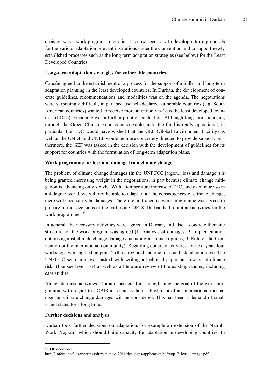decision was a work program. Inter alia, it is now necessary to develop reform proposals for the various adaptation relevant institutions under the Convention and to support newly established processes such as the long-term adaptation strategies (see below) for the Least Developed Countries.

## **Long-term adaptation strategies for vulnerable countries**

Cancún agreed to the establishment of a process for the support of middle- and long-term adaptation planning in the least developed countries. In Durban, the development of concrete guidelines, recommendations and modalities was on the agenda. The negotiations were surprisingly difficult, in part because self-declared vulnerable countries (e.g. South American countries) wanted to receive more attention vis-à-vis the least developed countries (LDCs). Financing was a further point of contention. Although long-term financing through the Green Climate Fund is conceivable, until the fund is really operational, in particular the LDC would have wished that the GEF (Global Environment Facility) as well as the UNDP and UNEP would be more concretely directed to provide support. Furthermore, the GEF was tasked in the decision with the development of guidelines for its support for countries with the formulation of long-term adaptation plans.

## **Work programme for loss and damage from climate change**

The problem of climate change damages (in the UNFCCC jargon, ... loss and damage") is being granted increasing weight in the negotiations, in part because climate change mitigation is advancing only slowly. With a temperature increase of  $2^{\circ}C$ , and even more so in a 4 degree world, we will not be able to adapt to all the consequences of climate change, there will necessarily be damages. Therefore, in Cancún a work programme was agreed to prepare further decisions of the parties at COP18. Durban had to initiate activities for the work programme. <sup>[9](#page-20-0)</sup>

In general, the necessary activities were agreed in Durban, and also a concrete thematic structure for the work program was agreed (1. Analysis of damages; 2. Implementation options against climate change damages including insurance options; 3. Role of the Convention or the international community). Regarding concrete activities for next year, four workshops were agreed on point 2 (three regional and one for small island countries). The UNFCCC secretariat was tasked with writing a technical paper on slow-onset climate risks (like see level rise) as well as a literature review of the existing studies, including case studies.

Alongside these activities, Durban succeeded in strengthening the goal of the work programme with regard to COP18 in so far as the establishment of an international mechanism on climate change damages will be considered. This has been a demand of small island states for a long time.

#### **Further decisions and analysis**

Durban took further decisions on adaptation, for example an extension of the Nairobi Work Program, which should build capacity for adaptation in developing countries. In

 $\overline{a}$ 

<span id="page-20-0"></span><sup>&</sup>lt;sup>9</sup> COP decision s.

http://unfccc.int/files/meetings/durban\_nov\_2011/decisions/application/pdf/cop17\_loss\_damage.pdf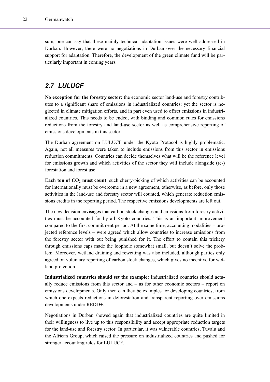sum, one can say that these mainly technical adaptation issues were well addressed in Durban. However, there were no negotiations in Durban over the necessary financial support for adaptation. Therefore, the development of the green climate fund will be particularly important in coming years.

## <span id="page-21-0"></span>*2.7 LULUCF*

**No exception for the forestry sector:** the economic sector land-use and forestry contributes to a significant share of emissions in industrialized countries; yet the sector is neglected in climate mitigation efforts, and in part even used to offset emissions in industrialized countries. This needs to be ended, with binding and common rules for emissions reductions from the forestry and land-use sector as well as comprehensive reporting of emissions developments in this sector.

The Durban agreement on LULUCF under the Kyoto Protocol is highly problematic. Again, not all measures were taken to include emissions from this sector in emissions reduction commitments. Countries can decide themselves what will be the reference level for emissions growth and which activities of the sector they will include alongside (re-) forestation and forest use.

**Each ton of CO<sub>2</sub> must count**: such cherry-picking of which activities can be accounted for internationally must be overcome in a new agreement, otherwise, as before, only those activities in the land-use and forestry sector will counted, which generate reduction emissions credits in the reporting period. The respective emissions developments are left out.

The new decision envisages that carbon stock changes and emissions from forestry activities must be accounted for by all Kyoto countries. This is an important improvement compared to the first commitment period. At the same time, accounting modalities – projected reference levels – were agreed which allow countries to increase emissions from the forestry sector with out being punished for it. The effort to contain this trickery through emissions caps made the loophole somewhat small, but doesn't solve the problem. Moreover, wetland draining and rewetting was also included, although parties only agreed on voluntary reporting of carbon stock changes, which gives no incentive for wetland protection.

**Industrialized countries should set the example:** Industrialized countries should actually reduce emissions from this sector and – as for other economic sectors – report on emissions developments. Only then can they be examples for developing countries, from which one expects reductions in deforestation and transparent reporting over emissions developments under REDD+.

Negotiations in Durban showed again that industrialized countries are quite limited in their willingness to live up to this responsibility and accept appropriate reduction targets for the land-use and forestry sector. In particular, it was vulnerable countries, Tuvalu and the African Group, which raised the pressure on industrialized countries and pushed for stronger accounting rules for LULUCF.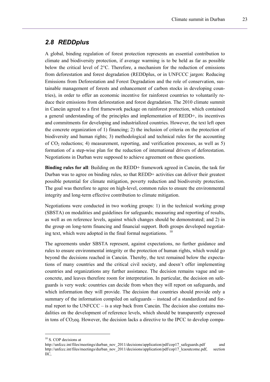## <span id="page-22-0"></span>*2.8 REDDplus*

A global, binding regulation of forest protection represents an essential contribution to climate and biodiversity protection, if average warming is to be held as far as possible below the critical level of  $2^{\circ}$ C. Therefore, a mechanism for the reduction of emissions from deforestation and forest degradation (REDDplus, or in UNFCCC jargon: Reducing Emissions from Deforestation and Forest Degradation and the role of conservation, sustainable management of forests and enhancement of carbon stocks in developing countries), in order to offer an economic incentive for rainforest countries to voluntarily reduce their emissions from deforestation and forest degradation. The 2010 climate summit in Cancún agreed to a first framework package on rainforest protection, which contained a general understanding of the principles and implementation of REDD+, its incentives and commitments for developing and industrialized countries. However, the text left open the concrete organization of 1) financing; 2) the inclusion of criteria on the protection of biodiversity and human rights; 3) methodological and technical rules for the accounting of  $CO<sub>2</sub>$  reductions; 4) measurement, reporting, and verification processes, as well as 5) formation of a step-wise plan for the reduction of international drivers of deforestation. Negotiations in Durban were supposed to achieve agreement on these questions.

**Binding rules for all**: Building on the REDD+ framework agreed in Cancún, the task for Durban was to agree on binding rules, so that REDD+ activities can deliver their greatest possible potential for climate mitigation, poverty reduction and biodiversity protection. The goal was therefore to agree on high-level, common rules to ensure the environmental integrity and long-term effective contribution to climate mitigation.

Negotiations were conducted in two working groups: 1) in the technical working group (SBSTA) on modalities and guidelines for safeguards; measuring and reporting of results, as well as on reference levels, against which changes should be demonstrated; and 2) in the group on long-term financing and financial support. Both groups developed negotiating text, which were adopted in the final formal negotiations.  $10$ 

The agreements under SBSTA represent, against expectations, no further guidance and rules to ensure environmental integrity or the protection of human rights, which would go beyond the decisions reached in Cancún. Thereby, the text remained below the expectations of many countries and the critical civil society, and doesn't offer implementing countries and organizations any further assistance. The decision remains vague and unconcrete, and leaves therefore room for interpretation. In particular, the decision on safeguards is very week: countries can decide from when they will report on safeguards, and which information they will provide. The decision that countries should provide only a summary of the information compiled on safeguards – instead of a standardized and formal report to the UNFCCC – is a step back from Cancún. The decision also contains modalities on the development of reference levels, which should be transparently expressed in tons of  $CO<sub>2</sub>$ eq. However, the decision lacks a directive to the IPCC to develop compa-

l

<span id="page-22-1"></span><sup>&</sup>lt;sup>10</sup> S. COP decisions at

[http://unfccc.int/files/meetings/durban\\_nov\\_2011/decisions/application/pdf/cop17\\_safeguards.pdf](http://unfccc.int/files/meetings/durban_nov_2011/decisions/application/pdf/cop17_safeguards.pdf) and [http://unfccc.int/files/meetings/durban\\_nov\\_2011/decisions/application/pdf/cop17\\_lcaoutcome.pdf](http://unfccc.int/files/meetings/durban_nov_2011/decisions/application/pdf/cop17_lcaoutcome.pdf), section IIC,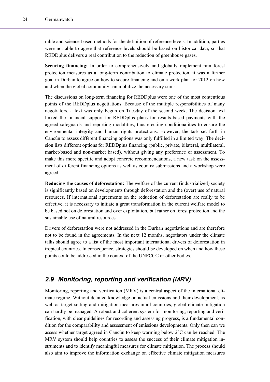rable and science-based methods for the definition of reference levels. In addition, parties were not able to agree that reference levels should be based on historical data, so that REDDplus delivers a real contribution to the reduction of greenhouse gases.

**Securing financing:** In order to comprehensively and globally implement rain forest protection measures as a long-term contribution to climate protection, it was a further goal in Durban to agree on how to secure financing and on a work plan for 2012 on how and when the global community can mobilize the necessary sums.

The discussions on long-term financing for REDDplus were one of the most contentious points of the REDDplus negotiations. Because of the multiple responsibilities of many negotiators, a text was only begun on Tuesday of the second week. The decision text linked the financial support for REDDplus plans for results-based payments with the agreed safeguards and reporting modalities, thus erecting conditionalities to ensure the environmental integrity and human rights protections. However, the task set forth in Cancún to assess different financing options was only fulfilled in a limited way. The decision lists different options for REDDplus financing (public, private, bilateral, multilateral, market-based and non-market based), without giving any preference or assessment. To make this more specific and adopt concrete recommendations, a new task on the assessment of different financing options as well as country submissions and a workshop were agreed.

**Reducing the causes of deforestation:** The welfare of the current (industrialized) society is significantly based on developments through deforestation and the (over) use of natural resources. If international agreements on the reduction of deforestation are really to be effective, it is necessary to initiate a great transformation in the current welfare model to be based not on deforestation and over exploitation, but rather on forest protection and the sustainable use of natural resources.

Drivers of deforestation were not addressed in the Durban negotiations and are therefore not to be found in the agreements. In the next 12 months, negotiators under the climate talks should agree to a list of the most important international drivers of deforestation in tropical countries. In consequence, strategies should be developed on when and how these points could be addressed in the context of the UNFCCC or other bodies.

## <span id="page-23-0"></span>*2.9 Monitoring, reporting and verification (MRV)*

Monitoring, reporting and verification (MRV) is a central aspect of the international climate regime. Without detailed knowledge on actual emissions and their development, as well as target setting and mitigation measures in all countries, global climate mitigation can hardly be managed. A robust and coherent system for monitoring, reporting and verification, with clear guidelines for recording and assessing progress, is a fundamental condition for the comparability and assessment of emissions developments. Only then can we assess whether target agreed in Cancún to keep warming below 2°C can be reached. The MRV system should help countries to assess the success of their climate mitigation instruments and to identify meaningful measures for climate mitigation. The process should also aim to improve the information exchange on effective climate mitigation measures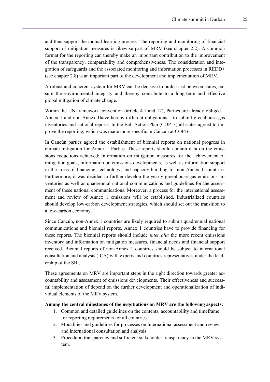and thus support the mutual learning process. The reporting and monitoring of financial support of mitigation measures is likewise part of MRV (see chapter 2.2). A common format for the reporting can thereby make an important contribution to the improvement of the transparency, comparability and comprehensiveness. The consideration and integration of safeguards and the associated monitoring and information processes in REDD+ (see chapter 2.8) is an important part of the development and implementation of MRV.

A robust and coherent system for MRV can be decisive to build trust between states, ensure the environmental integrity and thereby contribute to a long-term and effective global mitigation of climate change.

Within the UN framework convention (article 4.1 and 12), Parties are already obliged – Annex 1 and non Annex 1have hereby different obligations – to submit greenhouse gas inventories and national reports. In the Bali Action Plan (COP13) all states agreed to improve the reporting, which was made more specific in Cancún at COP16.

In Cancún parties agreed the establishment of biennial reports on national progress in climate mitigation for Annex 1 Parties. These reports should contain data on the emissions reductions achieved; information on mitigation measures for the achievement of mitigation goals; information on emissions developments, as well as information support in the areas of financing, technology, and capacity-building for non-Annex 1 countries. Furthermore, it was decided to further develop the yearly greenhouse gas emissions inventories as well as quadrennial national communications and guidelines for the assessment of these national communications. Moreover, a process for the international assessment and review of Annex 1 emissions will be established. Industrialized countries should develop low-carbon development strategies, which should set out the transition to a low-carbon economy.

Since Cancún, non-Annex 1 countries are likely required to submit quadrennial national communications and biennial reports. Annex 1 countries have to provide financing for these reports. The biennial reports should include *inter alia* the more recent emissions inventory and information on mitigation measures, financial needs and financial support received. Biennial reports of non-Annex 1 countries should be subject to international consultation and analysis (ICA) with experts and countries representatives under the leadership of the SBI.

These agreements on MRV are important steps in the right direction towards greater accountability and assessment of emissions developments. Their effectiveness and successful implementation of depend on the further development and operationalization of individual elements of the MRV system.

#### **Among the central milestones of the negotiations on MRV are the following aspects:**

- 1. Common and detailed guidelines on the contents, accountability and timeframe for reporting requirements for all countries.
- 2. Modalities and guidelines for processes on international assessment and review and international consultation and analysis
- 3. Procedural transparency and sufficient stakeholder transparency in the MRV system.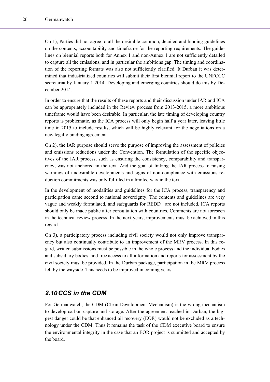On 1), Parties did not agree to all the desirable common, detailed and binding guidelines on the contents, accountability and timeframe for the reporting requirements. The guidelines on biennial reports both for Annex 1 and non-Annex 1 are not sufficiently detailed to capture all the emissions, and in particular the ambitions gap. The timing and coordination of the reporting formats was also not sufficiently clarified. It Durban it was determined that industrialized countries will submit their first biennial report to the UNFCCC secretariat by January 1 2014. Developing and emerging countries should do this by December 2014.

In order to ensure that the results of these reports and their discussion under IAR and ICA can be appropriately included in the Review process from 2013-2015, a more ambitious timeframe would have been desirable. In particular, the late timing of developing country reports is problematic, as the ICA process will only begin half a year later, leaving little time in 2015 to include results, which will be highly relevant for the negotiations on a new legally binding agreement.

On 2), the IAR purpose should serve the purpose of improving the assessment of policies and emissions reductions under the Convention. The formulation of the specific objectives of the IAR process, such as ensuring the consistency, comparability and transparency, was not anchored in the text. And the goal of linking the IAR process to raising warnings of undesirable developments and signs of non-compliance with emissions reduction commitments was only fulfilled in a limited way in the text.

In the development of modalities and guidelines for the ICA process, transparency and participation came second to national sovereignty. The contents and guidelines are very vague and weakly formulated, and safeguards for REDD+ are not included. ICA reports should only be made public after consultation with countries. Comments are not foreseen in the technical review process. In the next years, improvements must be achieved in this regard.

On 3), a participatory process including civil society would not only improve transparency but also continually contribute to an improvement of the MRV process. In this regard, written submissions must be possible in the whole process and the individual bodies and subsidiary bodies, and free access to all information and reports for assessment by the civil society must be provided. In the Durban package, participation in the MRV process fell by the wayside. This needs to be improved in coming years.

## <span id="page-25-0"></span>*2.10 CCS in the CDM*

For Germanwatch, the CDM (Clean Development Mechanism) is the wrong mechanism to develop carbon capture and storage. After the agreement reached in Durban, the biggest danger could be that enhanced oil recovery (EOR) would not be excluded as a technology under the CDM. Thus it remains the task of the CDM executive board to ensure the environmental integrity in the case that an EOR project is submitted and accepted by the board.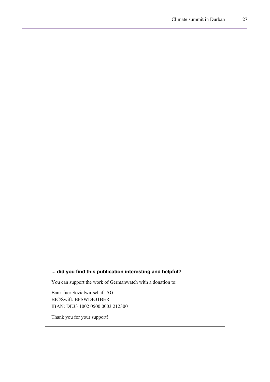## **... did you find this publication interesting and helpful?**

You can support the work of Germanwatch with a donation to:

Bank fuer Sozialwirtschaft AG BIC/Swift: BFSWDE31BER IBAN: DE33 1002 0500 0003 212300

Thank you for your support!